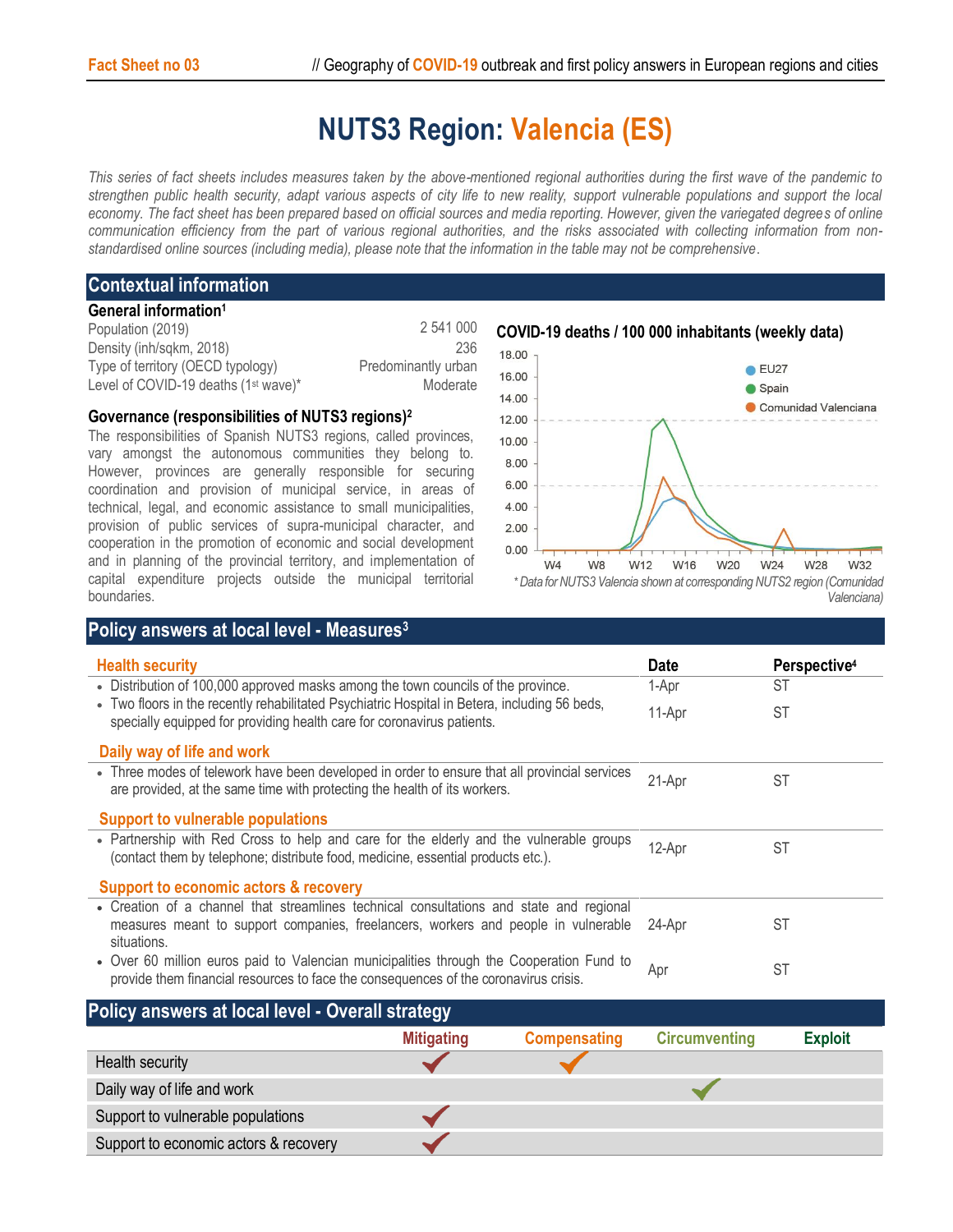# **NUTS3 Region: Valencia (ES)**

*This series of fact sheets includes measures taken by the above-mentioned regional authorities during the first wave of the pandemic to strengthen public health security, adapt various aspects of city life to new reality, support vulnerable populations and support the local economy. The fact sheet has been prepared based on official sources and media reporting. However, given the variegated degrees of online communication efficiency from the part of various regional authorities, and the risks associated with collecting information from nonstandardised online sources (including media), please note that the information in the table may not be comprehensive*.

## **Contextual information**

#### **General information<sup>1</sup>**

| Population (2019)                                | 2 541 000           |
|--------------------------------------------------|---------------------|
| Density (inh/sqkm, 2018)                         | 236                 |
| Type of territory (OECD typology)                | Predominantly urban |
| Level of COVID-19 deaths (1 <sup>st</sup> wave)* | Moderate            |

### **Governance (responsibilities of NUTS3 regions) 2**

**Policy answers at local level - Measures<sup>3</sup>**

The responsibilities of Spanish NUTS3 regions, called provinces, vary amongst the autonomous communities they belong to. However, provinces are generally responsible for securing coordination and provision of municipal service, in areas of technical, legal, and economic assistance to small municipalities, provision of public services of supra-municipal character, and cooperation in the promotion of economic and social development and in planning of the provincial territory, and implementation of capital expenditure projects outside the municipal territorial boundaries.



| <b>Health security</b>                                                                                                                                                                       | <b>Date</b> | Perspective <sup>4</sup> |
|----------------------------------------------------------------------------------------------------------------------------------------------------------------------------------------------|-------------|--------------------------|
| • Distribution of 100,000 approved masks among the town councils of the province.                                                                                                            | 1-Apr       | ST                       |
| • Two floors in the recently rehabilitated Psychiatric Hospital in Betera, including 56 beds,<br>specially equipped for providing health care for coronavirus patients.                      |             | <b>ST</b>                |
| Daily way of life and work                                                                                                                                                                   |             |                          |
| • Three modes of telework have been developed in order to ensure that all provincial services<br>are provided, at the same time with protecting the health of its workers.                   | 21-Apr      | <b>ST</b>                |
| Support to vulnerable populations                                                                                                                                                            |             |                          |
| • Partnership with Red Cross to help and care for the elderly and the vulnerable groups<br>(contact them by telephone; distribute food, medicine, essential products etc.).                  | 12-Apr      | <b>ST</b>                |
| Support to economic actors & recovery                                                                                                                                                        |             |                          |
| • Creation of a channel that streamlines technical consultations and state and regional<br>measures meant to support companies, freelancers, workers and people in vulnerable<br>situations. | 24-Apr      | <b>ST</b>                |
| • Over 60 million euros paid to Valencian municipalities through the Cooperation Fund to<br>provide them financial resources to face the consequences of the coronavirus crisis.             | Apr         | <b>ST</b>                |

# **Policy answers at local level - Overall strategy**

|                                       | <b>Mitigating</b> | <b>Compensating</b> | <b>Circumventing</b> | <b>Exploit</b> |
|---------------------------------------|-------------------|---------------------|----------------------|----------------|
| Health security                       |                   |                     |                      |                |
| Daily way of life and work            |                   |                     |                      |                |
| Support to vulnerable populations     |                   |                     |                      |                |
| Support to economic actors & recovery |                   |                     |                      |                |

**COVID-19 deaths / 100 000 inhabitants (weekly data)**